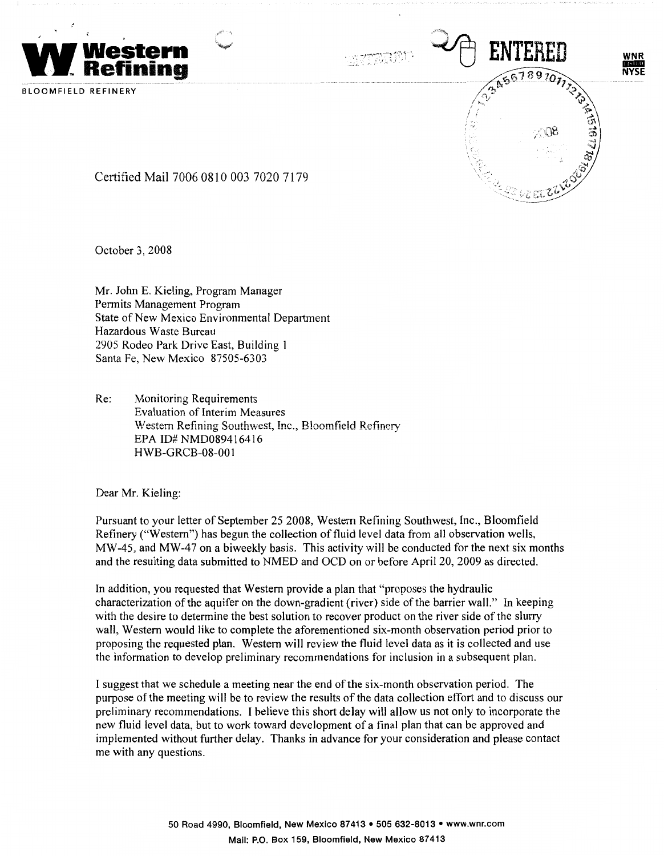



BLOOMFIELD REFINERY

Certified Mail 7006 0810 003 7020 7179

October 3, 2008

Mr. John E. Kieling, Program Manager Permits Management Program State of New Mexico Environmental Department Hazardous Waste Bureau 2905 Rodeo Park Drive East, Building 1 Santa Fe, New Mexico 87505-6303

Re: Monitoring Requirements Evaluation of Interim Measures Western Refining Southwest, Inc., Bloomfield Refinery EPA ID# NMD089416416 HWB-GRCB-08-001

Dear Mr. Kieling:

Pursuant to your letter of September 25 2008, Western Refining Southwest, Inc., Bloomfield Refinery ("Western") has begun the collection of fluid level data from all observation wells, MW-45, and MW-47 on a biweekly basis. This activity will be conducted for the next six months and the resulting data submitted to NMED and OCD on or before April 20, 2009 as directed.

In addition, you requested that Western provide a plan that "proposes the hydraulic characterization of the aquifer on the down-gradient (river) side of the barrier wall." In keeping with the desire to determine the best solution to recover product on the river side of the slurry wall, Western would like to complete the aforementioned six-month observation period prior to proposing the requested plan. Western will review the fluid level data as it is collected and use the information to develop preliminary recommendations for inclusion in a subsequent plan.

I suggest that we schedule a meeting near the end of the six-month observation period. The purpose of the meeting will be to review the results of the data collection effort and to discuss our preliminary recommendations. I believe this short delay will allow us not only to incorporate the new fluid level data, but to work toward development of a final plan that can be approved and implemented without further delay. Thanks in advance for your consideration and please contact me with any questions.